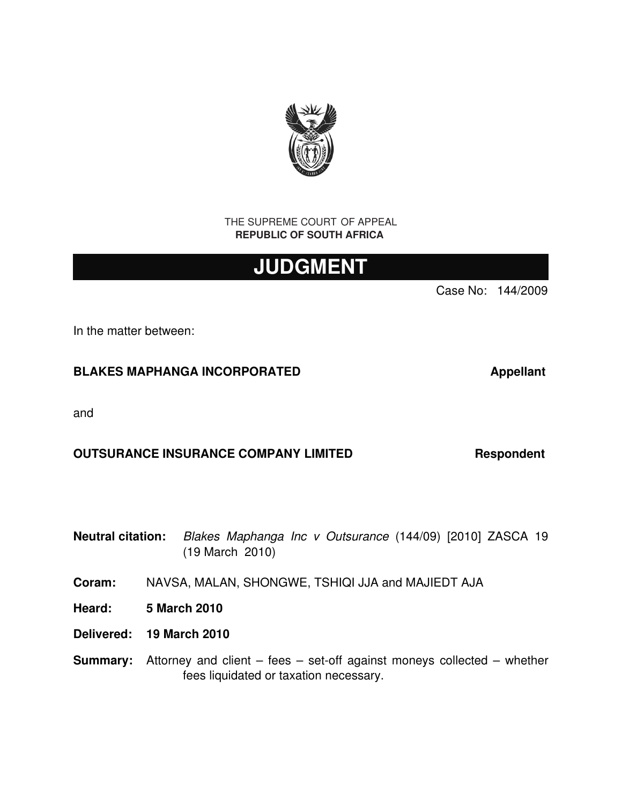

THE SUPREME COURT OF APPEAL **REPUBLIC OF SOUTH AFRICA** 

# **JUDGMENT**

Case No: 144/2009

In the matter between:

## BLAKES MAPHANGA INCORPORATED **Algebrary Appellant**

and

## **OUTSURANCE INSURANCE COMPANY LIMITED Respondent**

**Neutral citation:** *Blakes Maphanga Inc v Outsurance* (144/09) [2010] ZASCA 19 (19 March 2010)

**Coram:** NAVSA, MALAN, SHONGWE, TSHIQI JJA and MAJIEDT AJA

- **Heard: 5 March 2010**
- **Delivered: 19 March 2010**
- **Summary:** Attorney and client fees set-off against moneys collected whether fees liquidated or taxation necessary.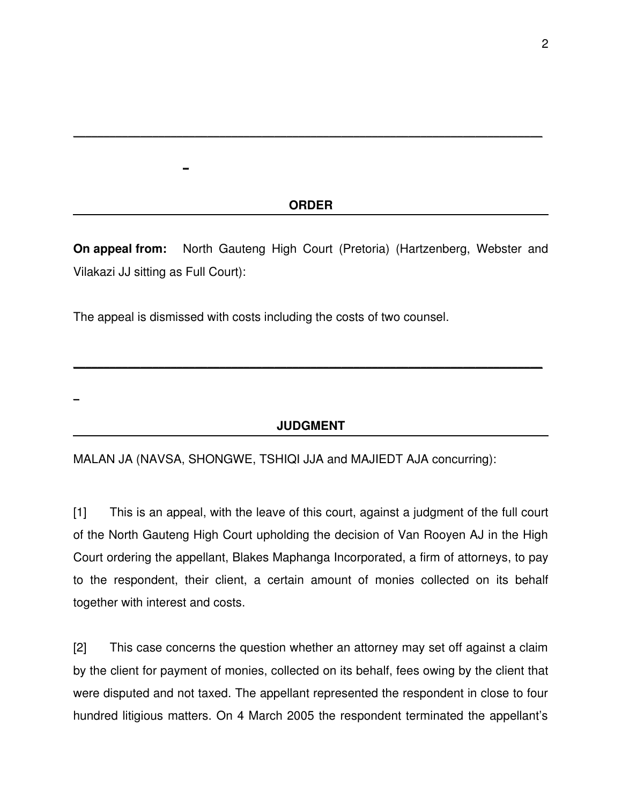#### **ORDER**

\_\_\_\_\_\_\_\_\_\_\_\_\_\_\_\_\_\_\_\_\_\_\_\_\_\_\_\_\_\_\_\_\_\_\_\_\_\_\_\_\_\_\_\_\_\_\_\_\_\_\_\_\_\_\_\_\_\_\_\_\_\_\_\_\_\_\_\_\_\_\_\_\_\_\_\_\_

**On appeal from:** North Gauteng High Court (Pretoria) (Hartzenberg, Webster and Vilakazi JJ sitting as Full Court):

The appeal is dismissed with costs including the costs of two counsel.

\_

\_

## **JUDGMENT**

\_\_\_\_\_\_\_\_\_\_\_\_\_\_\_\_\_\_\_\_\_\_\_\_\_\_\_\_\_\_\_\_\_\_\_\_\_\_\_\_\_\_\_\_\_\_\_\_\_\_\_\_\_\_\_\_\_\_\_\_\_\_\_\_\_\_\_\_\_\_\_\_\_\_\_\_\_

MALAN JA (NAVSA, SHONGWE, TSHIQI JJA and MAJIEDT AJA concurring):

[1] This is an appeal, with the leave of this court, against a judgment of the full court of the North Gauteng High Court upholding the decision of Van Rooyen AJ in the High Court ordering the appellant, Blakes Maphanga Incorporated, a firm of attorneys, to pay to the respondent, their client, a certain amount of monies collected on its behalf together with interest and costs.

[2] This case concerns the question whether an attorney may set off against a claim by the client for payment of monies, collected on its behalf, fees owing by the client that were disputed and not taxed. The appellant represented the respondent in close to four hundred litigious matters. On 4 March 2005 the respondent terminated the appellant's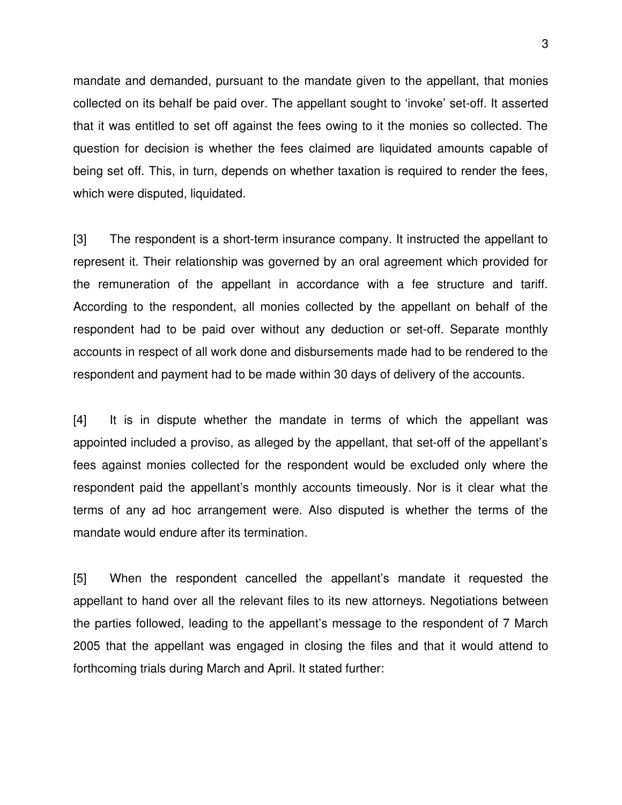mandate and demanded, pursuant to the mandate given to the appellant, that monies collected on its behalf be paid over. The appellant sought to 'invoke' set-off. It asserted that it was entitled to set off against the fees owing to it the monies so collected. The question for decision is whether the fees claimed are liquidated amounts capable of being set off. This, in turn, depends on whether taxation is required to render the fees, which were disputed, liquidated.

[3] The respondent is a short-term insurance company. It instructed the appellant to represent it. Their relationship was governed by an oral agreement which provided for the remuneration of the appellant in accordance with a fee structure and tariff. According to the respondent, all monies collected by the appellant on behalf of the respondent had to be paid over without any deduction or set-off. Separate monthly accounts in respect of all work done and disbursements made had to be rendered to the respondent and payment had to be made within 30 days of delivery of the accounts.

[4] It is in dispute whether the mandate in terms of which the appellant was appointed included a proviso, as alleged by the appellant, that set-off of the appellant's fees against monies collected for the respondent would be excluded only where the respondent paid the appellant's monthly accounts timeously. Nor is it clear what the terms of any ad hoc arrangement were. Also disputed is whether the terms of the mandate would endure after its termination.

[5] When the respondent cancelled the appellant's mandate it requested the appellant to hand over all the relevant files to its new attorneys. Negotiations between the parties followed, leading to the appellant's message to the respondent of 7 March 2005 that the appellant was engaged in closing the files and that it would attend to forthcoming trials during March and April. It stated further: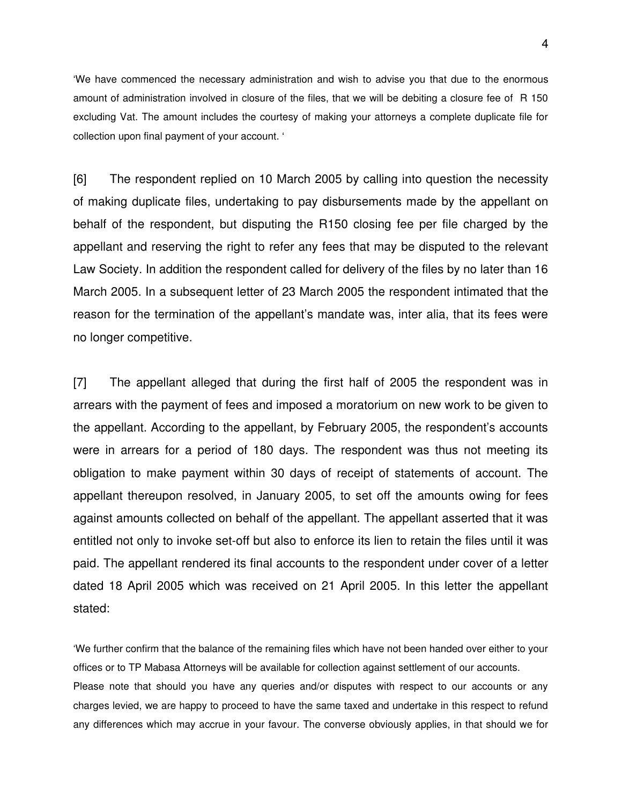'We have commenced the necessary administration and wish to advise you that due to the enormous amount of administration involved in closure of the files, that we will be debiting a closure fee of R 150 excluding Vat. The amount includes the courtesy of making your attorneys a complete duplicate file for collection upon final payment of your account. '

[6] The respondent replied on 10 March 2005 by calling into question the necessity of making duplicate files, undertaking to pay disbursements made by the appellant on behalf of the respondent, but disputing the R150 closing fee per file charged by the appellant and reserving the right to refer any fees that may be disputed to the relevant Law Society. In addition the respondent called for delivery of the files by no later than 16 March 2005. In a subsequent letter of 23 March 2005 the respondent intimated that the reason for the termination of the appellant's mandate was, inter alia, that its fees were no longer competitive.

[7] The appellant alleged that during the first half of 2005 the respondent was in arrears with the payment of fees and imposed a moratorium on new work to be given to the appellant. According to the appellant, by February 2005, the respondent's accounts were in arrears for a period of 180 days. The respondent was thus not meeting its obligation to make payment within 30 days of receipt of statements of account. The appellant thereupon resolved, in January 2005, to set off the amounts owing for fees against amounts collected on behalf of the appellant. The appellant asserted that it was entitled not only to invoke set-off but also to enforce its lien to retain the files until it was paid. The appellant rendered its final accounts to the respondent under cover of a letter dated 18 April 2005 which was received on 21 April 2005. In this letter the appellant stated:

'We further confirm that the balance of the remaining files which have not been handed over either to your offices or to TP Mabasa Attorneys will be available for collection against settlement of our accounts. Please note that should you have any queries and/or disputes with respect to our accounts or any charges levied, we are happy to proceed to have the same taxed and undertake in this respect to refund any differences which may accrue in your favour. The converse obviously applies, in that should we for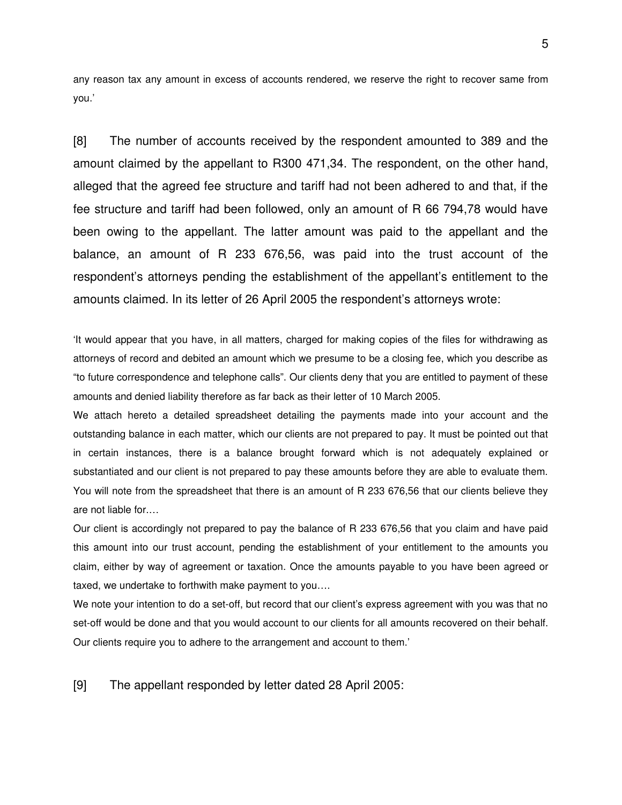any reason tax any amount in excess of accounts rendered, we reserve the right to recover same from you.'

[8] The number of accounts received by the respondent amounted to 389 and the amount claimed by the appellant to R300 471,34. The respondent, on the other hand, alleged that the agreed fee structure and tariff had not been adhered to and that, if the fee structure and tariff had been followed, only an amount of R 66 794,78 would have been owing to the appellant. The latter amount was paid to the appellant and the balance, an amount of R 233 676,56, was paid into the trust account of the respondent's attorneys pending the establishment of the appellant's entitlement to the amounts claimed. In its letter of 26 April 2005 the respondent's attorneys wrote:

'It would appear that you have, in all matters, charged for making copies of the files for withdrawing as attorneys of record and debited an amount which we presume to be a closing fee, which you describe as "to future correspondence and telephone calls". Our clients deny that you are entitled to payment of these amounts and denied liability therefore as far back as their letter of 10 March 2005.

We attach hereto a detailed spreadsheet detailing the payments made into your account and the outstanding balance in each matter, which our clients are not prepared to pay. It must be pointed out that in certain instances, there is a balance brought forward which is not adequately explained or substantiated and our client is not prepared to pay these amounts before they are able to evaluate them. You will note from the spreadsheet that there is an amount of R 233 676,56 that our clients believe they are not liable for.…

Our client is accordingly not prepared to pay the balance of R 233 676,56 that you claim and have paid this amount into our trust account, pending the establishment of your entitlement to the amounts you claim, either by way of agreement or taxation. Once the amounts payable to you have been agreed or taxed, we undertake to forthwith make payment to you….

We note your intention to do a set-off, but record that our client's express agreement with you was that no set-off would be done and that you would account to our clients for all amounts recovered on their behalf. Our clients require you to adhere to the arrangement and account to them.'

[9] The appellant responded by letter dated 28 April 2005: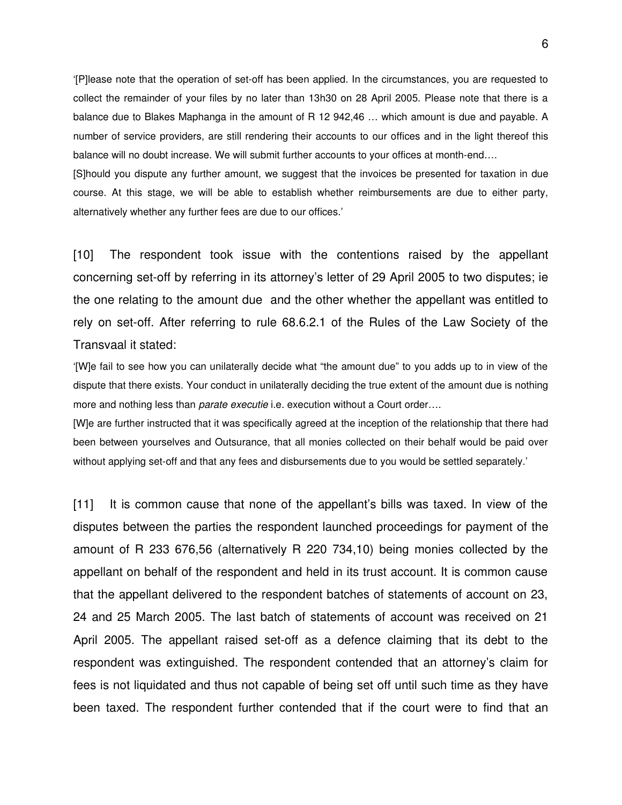'[P] lease note that the operation of set-off has been applied. In the circumstances, you are requested to collect the remainder of your files by no later than 13h30 on 28 April 2005. Please note that there is a balance due to Blakes Maphanga in the amount of R 12 942,46 … which amount is due and payable. A number of service providers, are still rendering their accounts to our offices and in the light thereof this balance will no doubt increase. We will submit further accounts to your offices at month-end....

[S]hould you dispute any further amount, we suggest that the invoices be presented for taxation in due course. At this stage, we will be able to establish whether reimbursements are due to either party, alternatively whether any further fees are due to our offices.'

[10] The respondent took issue with the contentions raised by the appellant concerning set-off by referring in its attorney's letter of 29 April 2005 to two disputes; ie the one relating to the amount due and the other whether the appellant was entitled to rely on set-off. After referring to rule 68.6.2.1 of the Rules of the Law Society of the Transvaal it stated:

'[W]e fail to see how you can unilaterally decide what "the amount due" to you adds up to in view of the dispute that there exists. Your conduct in unilaterally deciding the true extent of the amount due is nothing more and nothing less than *parate executie* i.e. execution without a Court order….

[W]e are further instructed that it was specifically agreed at the inception of the relationship that there had been between yourselves and Outsurance, that all monies collected on their behalf would be paid over without applying set-off and that any fees and disbursements due to you would be settled separately.'

[11] It is common cause that none of the appellant's bills was taxed. In view of the disputes between the parties the respondent launched proceedings for payment of the amount of R 233 676,56 (alternatively R 220 734,10) being monies collected by the appellant on behalf of the respondent and held in its trust account. It is common cause that the appellant delivered to the respondent batches of statements of account on 23, 24 and 25 March 2005. The last batch of statements of account was received on 21 April 2005. The appellant raised set-off as a defence claiming that its debt to the respondent was extinguished. The respondent contended that an attorney's claim for fees is not liquidated and thus not capable of being set off until such time as they have been taxed. The respondent further contended that if the court were to find that an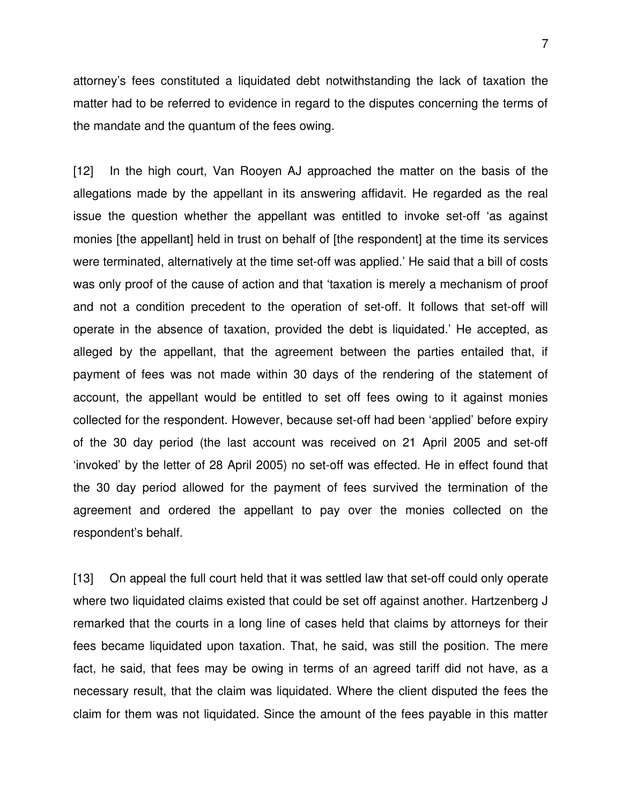attorney's fees constituted a liquidated debt notwithstanding the lack of taxation the matter had to be referred to evidence in regard to the disputes concerning the terms of the mandate and the quantum of the fees owing.

[12] In the high court, Van Rooyen AJ approached the matter on the basis of the allegations made by the appellant in its answering affidavit. He regarded as the real issue the question whether the appellant was entitled to invoke set-off 'as against monies [the appellant] held in trust on behalf of [the respondent] at the time its services were terminated, alternatively at the time set-off was applied.' He said that a bill of costs was only proof of the cause of action and that 'taxation is merely a mechanism of proof and not a condition precedent to the operation of set-off. It follows that set-off will operate in the absence of taxation, provided the debt is liquidated.' He accepted, as alleged by the appellant, that the agreement between the parties entailed that, if payment of fees was not made within 30 days of the rendering of the statement of account, the appellant would be entitled to set off fees owing to it against monies collected for the respondent. However, because set-off had been 'applied' before expiry of the 30 day period (the last account was received on 21 April 2005 and set-off 'invoked' by the letter of 28 April 2005) no set-off was effected. He in effect found that the 30 day period allowed for the payment of fees survived the termination of the agreement and ordered the appellant to pay over the monies collected on the respondent's behalf.

[13] On appeal the full court held that it was settled law that set-off could only operate where two liquidated claims existed that could be set off against another. Hartzenberg J remarked that the courts in a long line of cases held that claims by attorneys for their fees became liquidated upon taxation. That, he said, was still the position. The mere fact, he said, that fees may be owing in terms of an agreed tariff did not have, as a necessary result, that the claim was liquidated. Where the client disputed the fees the claim for them was not liquidated. Since the amount of the fees payable in this matter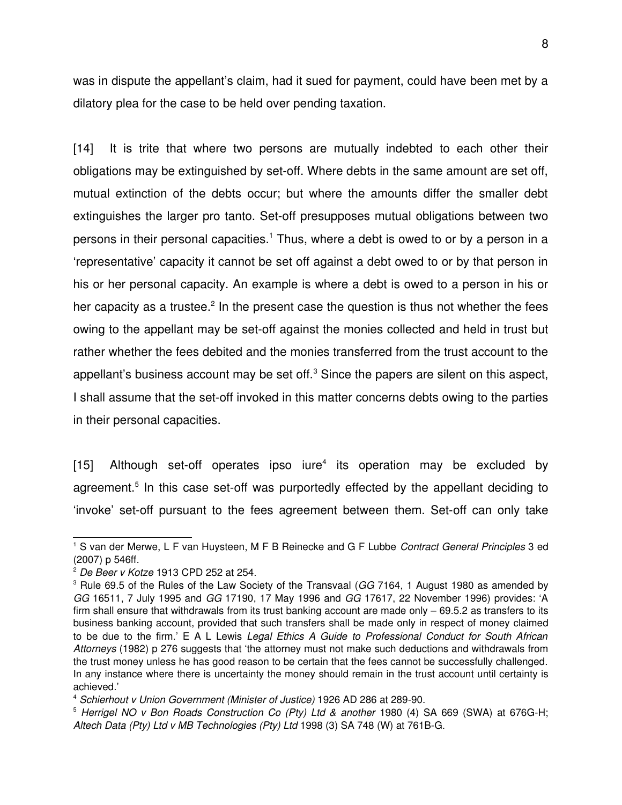was in dispute the appellant's claim, had it sued for payment, could have been met by a dilatory plea for the case to be held over pending taxation.

[14] It is trite that where two persons are mutually indebted to each other their obligations may be extinguished by set-off. Where debts in the same amount are set off, mutual extinction of the debts occur; but where the amounts differ the smaller debt extinguishes the larger pro tanto. Set-off presupposes mutual obligations between two persons in their personal capacities.<sup>[1](#page-7-0)</sup> Thus, where a debt is owed to or by a person in a 'representative' capacity it cannot be set off against a debt owed to or by that person in his or her personal capacity. An example is where a debt is owed to a person in his or her capacity as a trustee.<sup>[2](#page-7-1)</sup> In the present case the question is thus not whether the fees owing to the appellant may be set-off against the monies collected and held in trust but rather whether the fees debited and the monies transferred from the trust account to the appellant's business account may be set off. $3$  Since the papers are silent on this aspect, I shall assume that the set-off invoked in this matter concerns debts owing to the parties in their personal capacities.

[15] Although set-off operates ipso iure<sup>[4](#page-7-3)</sup> its operation may be excluded by agreement.<sup>[5](#page-7-4)</sup> In this case set-off was purportedly effected by the appellant deciding to 'invoke' set-off pursuant to the fees agreement between them. Set-off can only take

<span id="page-7-0"></span><sup>1</sup> S van der Merwe, L F van Huysteen, M F B Reinecke and G F Lubbe *Contract General Principles* 3 ed (2007) p 546ff.

<span id="page-7-1"></span><sup>2</sup> *De Beer v Kotze* 1913 CPD 252 at 254.

<span id="page-7-2"></span><sup>&</sup>lt;sup>3</sup> Rule 69.5 of the Rules of the Law Society of the Transvaal (*GG* 7164, 1 August 1980 as amended by *GG* 16511, 7 July 1995 and *GG* 17190, 17 May 1996 and *GG* 17617, 22 November 1996) provides: 'A firm shall ensure that withdrawals from its trust banking account are made only – 69.5.2 as transfers to its business banking account, provided that such transfers shall be made only in respect of money claimed to be due to the firm.' E A L Lewis *Legal Ethics A Guide to Professional Conduct for South African Attorneys* (1982) p 276 suggests that 'the attorney must not make such deductions and withdrawals from the trust money unless he has good reason to be certain that the fees cannot be successfully challenged. In any instance where there is uncertainty the money should remain in the trust account until certainty is achieved.'

<span id="page-7-3"></span><sup>&</sup>lt;sup>4</sup> Schierhout v Union Government (Minister of Justice) 1926 AD 286 at 289-90.

<span id="page-7-4"></span><sup>&</sup>lt;sup>5</sup> Herrigel NO v Bon Roads Construction Co (Pty) Ltd & another 1980 (4) SA 669 (SWA) at 676G-H; Altech Data (Pty) Ltd v MB Technologies (Pty) Ltd 1998 (3) SA 748 (W) at 761B-G.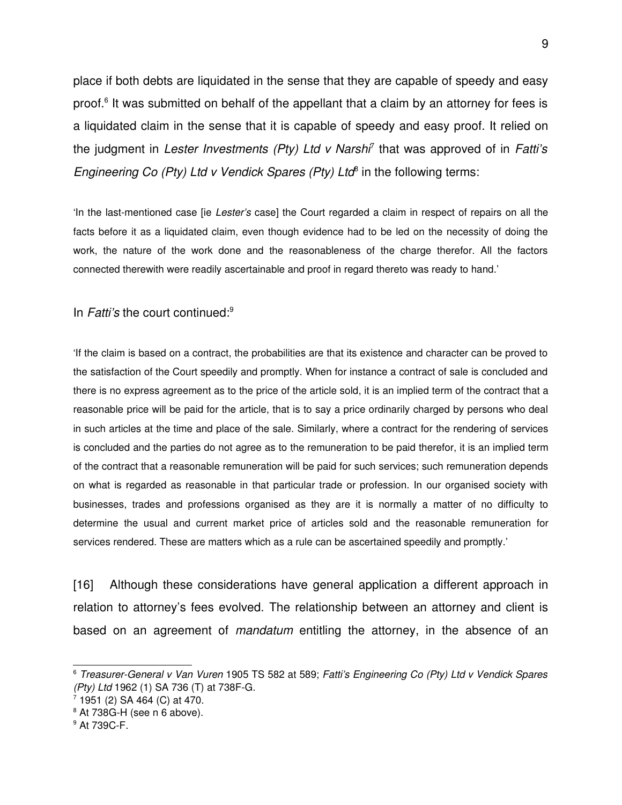place if both debts are liquidated in the sense that they are capable of speedy and easy proof.<sup>[6](#page-8-0)</sup> It was submitted on behalf of the appellant that a claim by an attorney for fees is a liquidated claim in the sense that it is capable of speedy and easy proof. It relied on the judgment in *Lester Investments (Pty) Ltd v Narshi*[7](#page-8-1) that was approved of in *Fatti's* Engineering Co (Pty) Ltd v Vendick Spares (Pty) Ltd<sup>[8](#page-8-2)</sup> in the following terms:

'In the lastmentioned case [ie *Lester's* case] the Court regarded a claim in respect of repairs on all the facts before it as a liquidated claim, even though evidence had to be led on the necessity of doing the work, the nature of the work done and the reasonableness of the charge therefor. All the factors connected therewith were readily ascertainable and proof in regard thereto was ready to hand.'

In *Fatti's* the court continued:[9](#page-8-3)

'If the claim is based on a contract, the probabilities are that its existence and character can be proved to the satisfaction of the Court speedily and promptly. When for instance a contract of sale is concluded and there is no express agreement as to the price of the article sold, it is an implied term of the contract that a reasonable price will be paid for the article, that is to say a price ordinarily charged by persons who deal in such articles at the time and place of the sale. Similarly, where a contract for the rendering of services is concluded and the parties do not agree as to the remuneration to be paid therefor, it is an implied term of the contract that a reasonable remuneration will be paid for such services; such remuneration depends on what is regarded as reasonable in that particular trade or profession. In our organised society with businesses, trades and professions organised as they are it is normally a matter of no difficulty to determine the usual and current market price of articles sold and the reasonable remuneration for services rendered. These are matters which as a rule can be ascertained speedily and promptly.'

[16] Although these considerations have general application a different approach in relation to attorney's fees evolved. The relationship between an attorney and client is based on an agreement of *mandatum* entitling the attorney, in the absence of an

<span id="page-8-0"></span><sup>6</sup> *TreasurerGeneral v Van Vuren* 1905 TS 582 at 589; *Fatti's Engineering Co (Pty) Ltd v Vendick Spares (Pty) Ltd* 1962 (1) SA 736 (T) at 738F-G.

<span id="page-8-1"></span><sup>7</sup> 1951 (2) SA 464 (C) at 470.

<span id="page-8-2"></span><sup>&</sup>lt;sup>8</sup> At 738G-H (see n 6 above).

<span id="page-8-3"></span><sup>&</sup>lt;sup>9</sup> At 739C-F.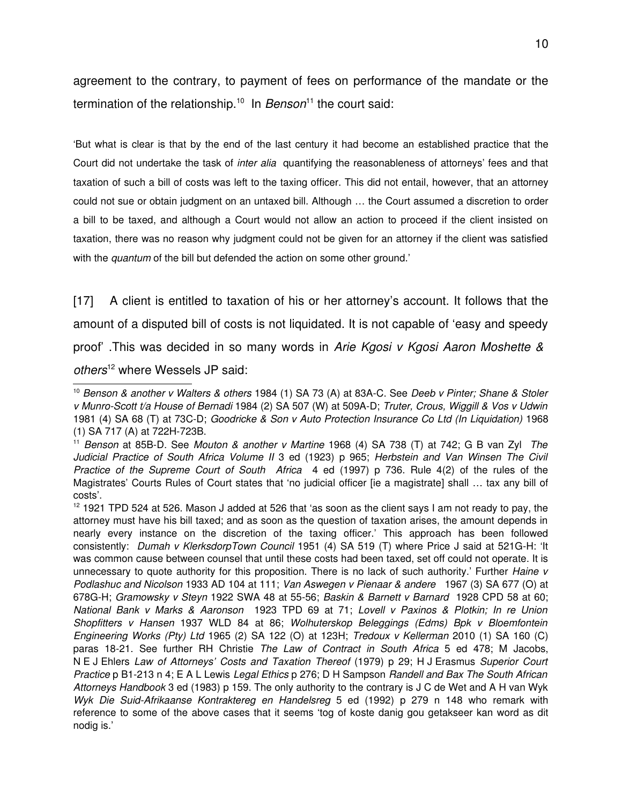agreement to the contrary, to payment of fees on performance of the mandate or the termination of the relationship.[10](#page-9-0) In *Benson*[11](#page-9-1) the court said:

'But what is clear is that by the end of the last century it had become an established practice that the Court did not undertake the task of *inter alia*  quantifying the reasonableness of attorneys' fees and that taxation of such a bill of costs was left to the taxing officer. This did not entail, however, that an attorney could not sue or obtain judgment on an untaxed bill. Although … the Court assumed a discretion to order a bill to be taxed, and although a Court would not allow an action to proceed if the client insisted on taxation, there was no reason why judgment could not be given for an attorney if the client was satisfied with the *quantum* of the bill but defended the action on some other ground.'

[17] A client is entitled to taxation of his or her attorney's account. It follows that the amount of a disputed bill of costs is not liquidated. It is not capable of 'easy and speedy proof' .This was decided in so many words in *Arie Kgosi v Kgosi Aaron Moshette & others*[12](#page-9-2) where Wessels JP said:

<span id="page-9-0"></span><sup>10</sup> *Benson & another v Walters & others* 1984 (1) SA 73 (A) at 83AC. See *Deeb v Pinter; Shane & Stoler v MunroScott t/a House of Bernadi* 1984 (2) SA 507 (W) at 509AD; *Truter, Crous, Wiggill & Vos v Udwin* 1981 (4) SA 68 (T) at 73C-D; *Goodricke & Son v Auto Protection Insurance Co Ltd (In Liquidation)* 1968 (1) SA 717 (A) at 722H-723B.

<span id="page-9-1"></span><sup>&</sup>lt;sup>11</sup> Benson at 85B-D. See *Mouton & another v Martine* 1968 (4) SA 738 (T) at 742; G B van Zyl The *Judicial Practice of South Africa Volume II* 3 ed (1923) p 965; *Herbstein and Van Winsen The Civil Practice of the Supreme Court of South Africa* 4 ed (1997) p 736. Rule 4(2) of the rules of the Magistrates' Courts Rules of Court states that 'no judicial officer [ie a magistrate] shall … tax any bill of costs'.

<span id="page-9-2"></span><sup>&</sup>lt;sup>12</sup> 1921 TPD 524 at 526. Mason J added at 526 that 'as soon as the client says I am not ready to pay, the attorney must have his bill taxed; and as soon as the question of taxation arises, the amount depends in nearly every instance on the discretion of the taxing officer.' This approach has been followed consistently: *Dumah v KlerksdorpTown Council* 1951 (4) SA 519 (T) where Price J said at 521GH: 'It was common cause between counsel that until these costs had been taxed, set off could not operate. It is unnecessary to quote authority for this proposition. There is no lack of such authority.' Further *Haine v Podlashuc and Nicolson* 1933 AD 104 at 111; *Van Aswegen v Pienaar & andere*  1967 (3) SA 677 (O) at 678GH; *Gramowsky v Steyn* 1922 SWA 48 at 5556; *Baskin & Barnett v Barnard*  1928 CPD 58 at 60; *National Bank v Marks & Aaronson*  1923 TPD 69 at 71; *Lovell v Paxinos & Plotkin; In re Union Shopfitters v Hansen* 1937 WLD 84 at 86; *Wolhuterskop Beleggings (Edms) Bpk v Bloemfontein Engineering Works (Pty) Ltd* 1965 (2) SA 122 (O) at 123H; *Tredoux v Kellerman* 2010 (1) SA 160 (C) paras 18-21. See further RH Christie The Law of Contract in South Africa 5 ed 478; M Jacobs, N E J Ehlers *Law of Attorneys' Costs and Taxation Thereof* (1979) p 29; H J Erasmus *Superior Court Practice* p B1213 n 4; E A L Lewis *Legal Ethics* p 276; D H Sampson *Randell and Bax The South African Attorneys Handbook* 3 ed (1983) p 159. The only authority to the contrary is J C de Wet and A H van Wyk *Wyk Die Suid-Afrikaanse Kontraktereg en Handelsreg 5 ed (1992)* p 279 n 148 who remark with reference to some of the above cases that it seems 'tog of koste danig gou getakseer kan word as dit nodig is.'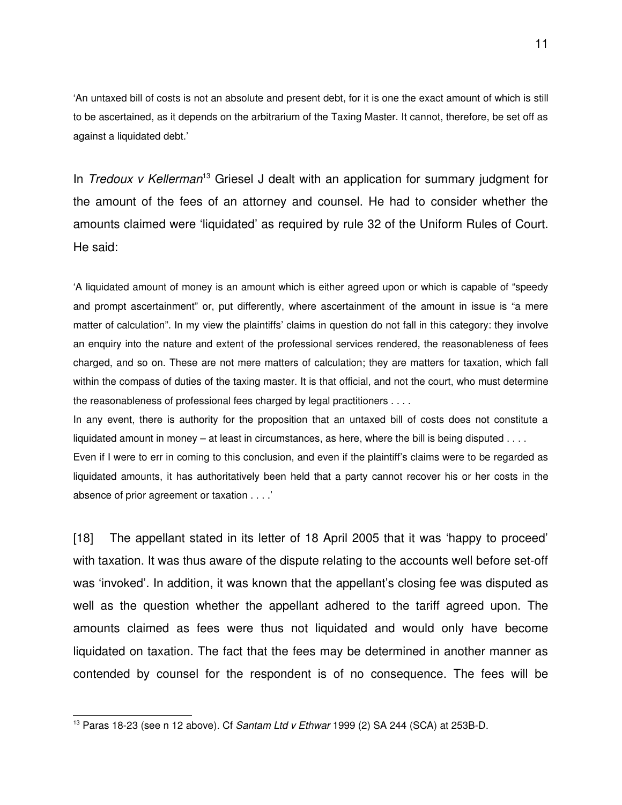'An untaxed bill of costs is not an absolute and present debt, for it is one the exact amount of which is still to be ascertained, as it depends on the arbitrarium of the Taxing Master. It cannot, therefore, be set off as against a liquidated debt.'

In *Tredoux v Kellerman*[13](#page-10-0) Griesel J dealt with an application for summary judgment for the amount of the fees of an attorney and counsel. He had to consider whether the amounts claimed were 'liquidated' as required by rule 32 of the Uniform Rules of Court. He said:

'A liquidated amount of money is an amount which is either agreed upon or which is capable of "speedy and prompt ascertainment" or, put differently, where ascertainment of the amount in issue is "a mere matter of calculation". In my view the plaintiffs' claims in question do not fall in this category: they involve an enquiry into the nature and extent of the professional services rendered, the reasonableness of fees charged, and so on. These are not mere matters of calculation; they are matters for taxation, which fall within the compass of duties of the taxing master. It is that official, and not the court, who must determine the reasonableness of professional fees charged by legal practitioners . . . .

In any event, there is authority for the proposition that an untaxed bill of costs does not constitute a liquidated amount in money – at least in circumstances, as here, where the bill is being disputed . . . .

Even if I were to err in coming to this conclusion, and even if the plaintiff's claims were to be regarded as liquidated amounts, it has authoritatively been held that a party cannot recover his or her costs in the absence of prior agreement or taxation . . . .'

[18] The appellant stated in its letter of 18 April 2005 that it was 'happy to proceed' with taxation. It was thus aware of the dispute relating to the accounts well before set-off was 'invoked'. In addition, it was known that the appellant's closing fee was disputed as well as the question whether the appellant adhered to the tariff agreed upon. The amounts claimed as fees were thus not liquidated and would only have become liquidated on taxation. The fact that the fees may be determined in another manner as contended by counsel for the respondent is of no consequence. The fees will be

<span id="page-10-0"></span><sup>&</sup>lt;sup>13</sup> Paras 18-23 (see n 12 above). Cf *Santam Ltd v Ethwar* 1999 (2) SA 244 (SCA) at 253B-D.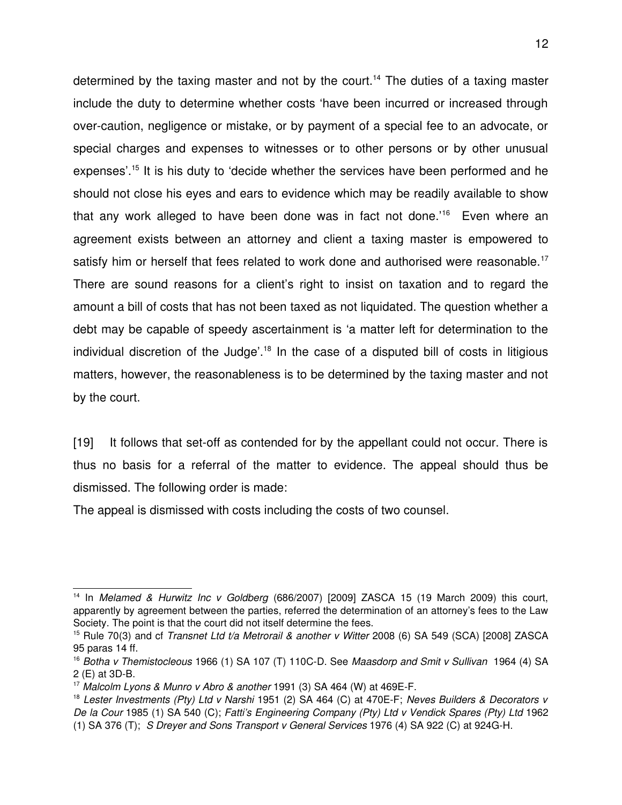determined by the taxing master and not by the court.<sup>[14](#page-11-0)</sup> The duties of a taxing master include the duty to determine whether costs 'have been incurred or increased through over-caution, negligence or mistake, or by payment of a special fee to an advocate, or special charges and expenses to witnesses or to other persons or by other unusual expenses'.[15](#page-11-1) It is his duty to 'decide whether the services have been performed and he should not close his eyes and ears to evidence which may be readily available to show that any work alleged to have been done was in fact not done.<sup>'[16](#page-11-2)</sup> Even where an agreement exists between an attorney and client a taxing master is empowered to satisfy him or herself that fees related to work done and authorised were reasonable.<sup>[17](#page-11-3)</sup> There are sound reasons for a client's right to insist on taxation and to regard the amount a bill of costs that has not been taxed as not liquidated. The question whether a debt may be capable of speedy ascertainment is 'a matter left for determination to the individual discretion of the Judge'.<sup>[18](#page-11-4)</sup> In the case of a disputed bill of costs in litigious matters, however, the reasonableness is to be determined by the taxing master and not by the court.

[19] It follows that set-off as contended for by the appellant could not occur. There is thus no basis for a referral of the matter to evidence. The appeal should thus be dismissed. The following order is made:

The appeal is dismissed with costs including the costs of two counsel.

<span id="page-11-0"></span><sup>&</sup>lt;sup>14</sup> In Melamed & Hurwitz Inc v Goldberg (686/2007) [2009] ZASCA 15 (19 March 2009) this court, apparently by agreement between the parties, referred the determination of an attorney's fees to the Law Society. The point is that the court did not itself determine the fees.

<span id="page-11-1"></span><sup>15</sup> Rule 70(3) and cf *Transnet Ltd t/a Metrorail & another v Witter* 2008 (6) SA 549 (SCA) [2008] ZASCA 95 paras 14 ff.

<span id="page-11-2"></span><sup>&</sup>lt;sup>16</sup> Botha v Themistocleous 1966 (1) SA 107 (T) 110C-D. See Maasdorp and Smit v Sullivan 1964 (4) SA  $2$  (E) at 3D-B.

<span id="page-11-3"></span><sup>&</sup>lt;sup>17</sup> Malcolm Lyons & Munro v Abro & another 1991 (3) SA 464 (W) at 469E-F.

<span id="page-11-4"></span><sup>&</sup>lt;sup>18</sup> Lester Investments (Pty) Ltd v Narshi 1951 (2) SA 464 (C) at 470E-F; Neves Builders & Decorators v *De la Cour* 1985 (1) SA 540 (C); *Fatti's Engineering Company (Pty) Ltd v Vendick Spares (Pty) Ltd* 1962 (1) SA 376 (T);  *S Dreyer and Sons Transport v General Services* 1976 (4) SA 922 (C) at 924GH.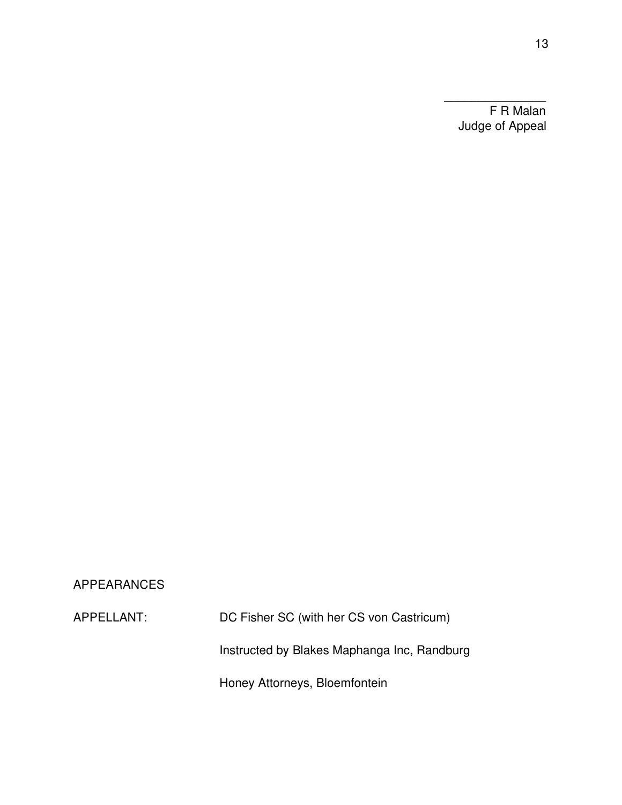F R Malan Judge of Appeal

 $\overline{\phantom{a}}$  , and the contract of  $\overline{\phantom{a}}$ 

# APPEARANCES

APPELLANT: DC Fisher SC (with her CS von Castricum) Instructed by Blakes Maphanga Inc, Randburg Honey Attorneys, Bloemfontein